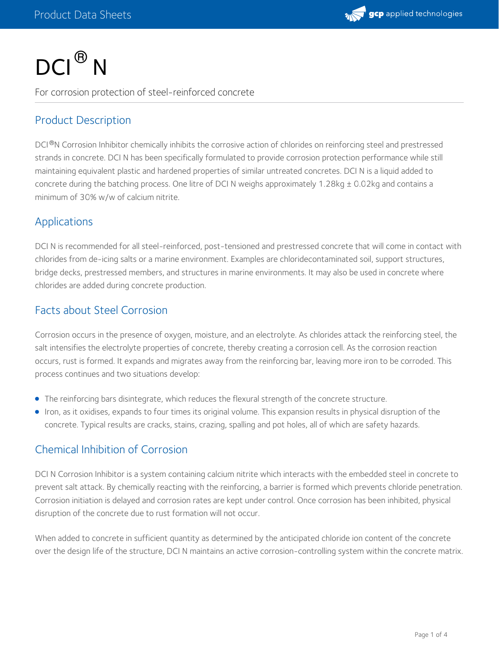

# $DCI<sup>®</sup> N$

For corrosion protection of steel-reinforced concrete

# Product Description

DCI®N Corrosion Inhibitor chemically inhibits the corrosive action of chlorides on reinforcing steel and prestressed strands in concrete. DCI N has been specifically formulated to provide corrosion protection performance while still maintaining equivalent plastic and hardened properties of similar untreated concretes. DCI N is a liquid added to concrete during the batching process. One litre of DCI N weighs approximately 1.28kg ± 0.02kg and contains a minimum of 30% w/w of calcium nitrite.

## Applications

DCI N is recommended for all steel-reinforced, post-tensioned and prestressed concrete that will come in contact with chlorides from de-icing salts or a marine environment. Examples are chloridecontaminated soil, support structures, bridge decks, prestressed members, and structures in marine environments. It may also be used in concrete where chlorides are added during concrete production.

# Facts about Steel Corrosion

Corrosion occurs in the presence of oxygen, moisture, and an electrolyte. As chlorides attack the reinforcing steel, the salt intensifies the electrolyte properties of concrete, thereby creating a corrosion cell. As the corrosion reaction occurs, rust is formed. It expands and migrates away from the reinforcing bar, leaving more iron to be corroded. This process continues and two situations develop:

- The reinforcing bars disintegrate, which reduces the flexural strength of the concrete structure.
- Iron, as it oxidises, expands to four times its original volume. This expansion results in physical disruption of the concrete. Typical results are cracks, stains, crazing, spalling and pot holes, all of which are safety hazards.

# Chemical Inhibition of Corrosion

DCI N Corrosion Inhibitor is a system containing calcium nitrite which interacts with the embedded steel in concrete to prevent salt attack. By chemically reacting with the reinforcing, a barrier is formed which prevents chloride penetration. Corrosion initiation is delayed and corrosion rates are kept under control. Once corrosion has been inhibited, physical disruption of the concrete due to rust formation will not occur.

When added to concrete in sufficient quantity as determined by the anticipated chloride ion content of the concrete over the design life of the structure, DCI N maintains an active corrosion-controlling system within the concrete matrix.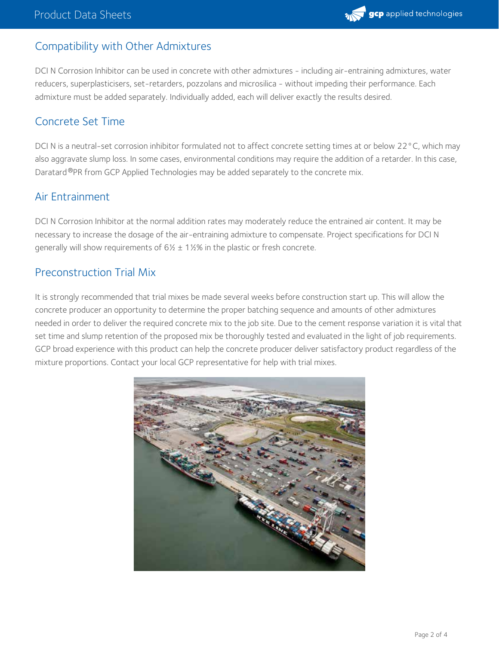# Compatibility with Other Admixtures

DCI N Corrosion Inhibitor can be used in concrete with other admixtures - including air-entraining admixtures, water reducers, superplasticisers, set-retarders, pozzolans and microsilica - without impeding their performance. Each admixture must be added separately. Individually added, each will deliver exactly the results desired.

#### Concrete Set Time

DCI N is a neutral-set corrosion inhibitor formulated not to affect concrete setting times at or below 22°C, which may also aggravate slump loss. In some cases, environmental conditions may require the addition of a retarder. In this case, Daratard <sup>®</sup>PR from GCP Applied Technologies may be added separately to the concrete mix.

#### Air Entrainment

DCI N Corrosion Inhibitor at the normal addition rates may moderately reduce the entrained air content. It may be necessary to increase the dosage of the air-entraining admixture to compensate. Project specifications for DCI N generally will show requirements of  $6\frac{1}{2}$  ± 1 $\frac{1}{2}\%$  in the plastic or fresh concrete.

## Preconstruction Trial Mix

It is strongly recommended that trial mixes be made several weeks before construction start up. This will allow the concrete producer an opportunity to determine the proper batching sequence and amounts of other admixtures needed in order to deliver the required concrete mix to the job site. Due to the cement response variation it is vital that set time and slump retention of the proposed mix be thoroughly tested and evaluated in the light of job requirements. GCP broad experience with this product can help the concrete producer deliver satisfactory product regardless of the mixture proportions. Contact your local GCP representative for help with trial mixes.

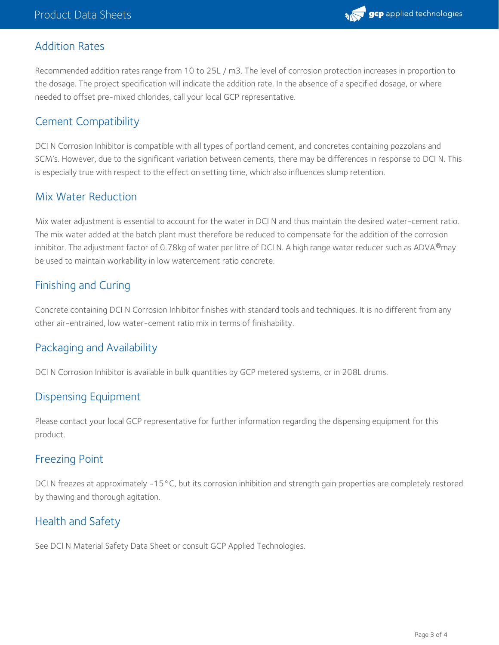

## Addition Rates

Recommended addition rates range from 10 to 25L / m3. The level of corrosion protection increases in proportion to the dosage. The project specification will indicate the addition rate. In the absence of a specified dosage, or where needed to offset pre-mixed chlorides, call your local GCP representative.

## Cement Compatibility

DCI N Corrosion Inhibitor is compatible with all types of portland cement, and concretes containing pozzolans and SCM's. However, due to the significant variation between cements, there may be differences in response to DCI N. This is especially true with respect to the effect on setting time, which also influences slump retention.

#### Mix Water Reduction

Mix water adjustment is essential to account for the water in DCI N and thus maintain the desired water-cement ratio. The mix water added at the batch plant must therefore be reduced to compensate for the addition of the corrosion inhibitor. The adjustment factor of 0.78kg of water per litre of DCI N. A high range water reducer such as ADVA®may be used to maintain workability in low watercement ratio concrete.

## Finishing and Curing

Concrete containing DCI N Corrosion Inhibitor finishes with standard tools and techniques. It is no different from any other air-entrained, low water-cement ratio mix in terms of finishability.

## Packaging and Availability

DCI N Corrosion Inhibitor is available in bulk quantities by GCP metered systems, or in 208L drums.

#### Dispensing Equipment

Please contact your local GCP representative for further information regarding the dispensing equipment for this product.

#### Freezing Point

DCI N freezes at approximately -15°C, but its corrosion inhibition and strength gain properties are completely restored by thawing and thorough agitation.

# Health and Safety

See DCI N Material Safety Data Sheet or consult GCP Applied Technologies.